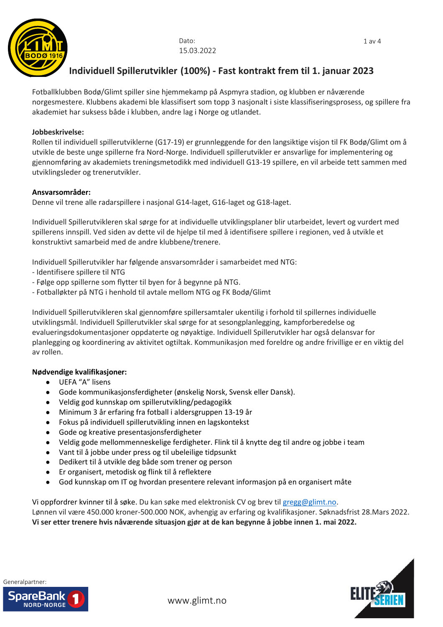

# **Individuell Spillerutvikler (100%) - Fast kontrakt frem til 1. januar 2023**

Fotballklubben Bodø/Glimt spiller sine hjemmekamp på Aspmyra stadion, og klubben er nåværende norgesmestere. Klubbens akademi ble klassifisert som topp 3 nasjonalt i siste klassifiseringsprosess, og spillere fra akademiet har suksess både i klubben, andre lag i Norge og utlandet.

#### **Jobbeskrivelse:**

Rollen til individuell spillerutviklerne (G17-19) er grunnleggende for den langsiktige visjon til FK Bodø/Glimt om å utvikle de beste unge spillerne fra Nord-Norge. Individuell spillerutvikler er ansvarlige for implementering og gjennomføring av akademiets treningsmetodikk med individuell G13-19 spillere, en vil arbeide tett sammen med utviklingsleder og trenerutvikler.

## **Ansvarsområder:**

Denne vil trene alle radarspillere i nasjonal G14-laget, G16-laget og G18-laget.

Individuell Spillerutvikleren skal sørge for at individuelle utviklingsplaner blir utarbeidet, levert og vurdert med spillerens innspill. Ved siden av dette vil de hjelpe til med å identifisere spillere i regionen, ved å utvikle et konstruktivt samarbeid med de andre klubbene/trenere.

Individuell Spillerutvikler har følgende ansvarsområder i samarbeidet med NTG:

- Identifisere spillere til NTG
- Følge opp spillerne som flytter til byen for å begynne på NTG.
- Fotballøkter på NTG i henhold til avtale mellom NTG og FK Bodø/Glimt

Individuell Spillerutvikleren skal gjennomføre spillersamtaler ukentilig i forhold til spillernes individuelle utviklingsmål. Individuell Spillerutvikler skal sørge for at sesongplanlegging, kampforberedelse og evalueringsdokumentasjoner oppdaterte og nøyaktige. Individuell Spillerutvikler har også delansvar for planlegging og koordinering av aktivitet ogtiltak. Kommunikasjon med foreldre og andre frivillige er en viktig del av rollen.

#### **Nødvendige kvalifikasjoner:**

- UEFA "A" lisens
- Gode kommunikasjonsferdigheter (ønskelig Norsk, Svensk eller Dansk).
- Veldig god kunnskap om spillerutvikling/pedagogikk
- Minimum 3 år erfaring fra fotball i aldersgruppen 13-19 år
- Fokus på individuell spillerutvikling innen en lagskontekst
- Gode og kreative presentasjonsferdigheter
- Veldig gode mellommenneskelige ferdigheter. Flink til å knytte deg til andre og jobbe i team
- Vant til å jobbe under press og til ubeleilige tidpsunkt
- Dedikert til å utvikle deg både som trener og person
- Er organisert, metodisk og flink til å reflektere
- God kunnskap om IT og hvordan presentere relevant informasjon på en organisert måte

Vi oppfordrer kvinner til å søke. Du kan søke med elektronisk CV og brev til [gregg@glimt.no.](mailto:gregg@glimt.no)

Lønnen vil være 450.000 kroner-500.000 NOK, avhengig av erfaring og kvalifikasjoner. Søknadsfrist 28.Mars 2022. **Vi ser etter trenere hvis nåværende situasjon gjør at de kan begynne å jobbe innen 1. mai 2022.**



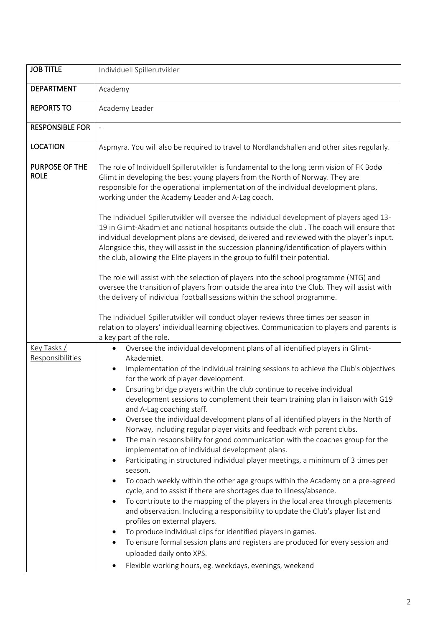| <b>JOB TITLE</b>                     | Individuell Spillerutvikler                                                                                                                                                                                                                                                                                                                                                                                                                                                                                                                                                                                                                                                                                                                                                                                                                                                                                                                                                                                                                                                                                                                                                                                                                                                                                                                                                                                                                                                                                                    |  |  |  |  |
|--------------------------------------|--------------------------------------------------------------------------------------------------------------------------------------------------------------------------------------------------------------------------------------------------------------------------------------------------------------------------------------------------------------------------------------------------------------------------------------------------------------------------------------------------------------------------------------------------------------------------------------------------------------------------------------------------------------------------------------------------------------------------------------------------------------------------------------------------------------------------------------------------------------------------------------------------------------------------------------------------------------------------------------------------------------------------------------------------------------------------------------------------------------------------------------------------------------------------------------------------------------------------------------------------------------------------------------------------------------------------------------------------------------------------------------------------------------------------------------------------------------------------------------------------------------------------------|--|--|--|--|
| <b>DEPARTMENT</b>                    | Academy                                                                                                                                                                                                                                                                                                                                                                                                                                                                                                                                                                                                                                                                                                                                                                                                                                                                                                                                                                                                                                                                                                                                                                                                                                                                                                                                                                                                                                                                                                                        |  |  |  |  |
| <b>REPORTS TO</b>                    | Academy Leader                                                                                                                                                                                                                                                                                                                                                                                                                                                                                                                                                                                                                                                                                                                                                                                                                                                                                                                                                                                                                                                                                                                                                                                                                                                                                                                                                                                                                                                                                                                 |  |  |  |  |
| <b>RESPONSIBLE FOR</b>               | $\overline{a}$                                                                                                                                                                                                                                                                                                                                                                                                                                                                                                                                                                                                                                                                                                                                                                                                                                                                                                                                                                                                                                                                                                                                                                                                                                                                                                                                                                                                                                                                                                                 |  |  |  |  |
| <b>LOCATION</b>                      | Aspmyra. You will also be required to travel to Nordlandshallen and other sites regularly.                                                                                                                                                                                                                                                                                                                                                                                                                                                                                                                                                                                                                                                                                                                                                                                                                                                                                                                                                                                                                                                                                                                                                                                                                                                                                                                                                                                                                                     |  |  |  |  |
| <b>PURPOSE OF THE</b><br><b>ROLE</b> | The role of Individuell Spillerutvikler is fundamental to the long term vision of FK Bodø<br>Glimt in developing the best young players from the North of Norway. They are<br>responsible for the operational implementation of the individual development plans,<br>working under the Academy Leader and A-Lag coach.<br>The Individuell Spillerutvikler will oversee the individual development of players aged 13-<br>19 in Glimt-Akadmiet and national hospitants outside the club . The coach will ensure that<br>individual development plans are devised, delivered and reviewed with the player's input.<br>Alongside this, they will assist in the succession planning/identification of players within<br>the club, allowing the Elite players in the group to fulfil their potential.<br>The role will assist with the selection of players into the school programme (NTG) and<br>oversee the transition of players from outside the area into the Club. They will assist with<br>the delivery of individual football sessions within the school programme.<br>The Individuell Spillerutvikler will conduct player reviews three times per season in<br>relation to players' individual learning objectives. Communication to players and parents is                                                                                                                                                                                                                                                               |  |  |  |  |
| Key Tasks /<br>Responsibilities      | a key part of the role.<br>Oversee the individual development plans of all identified players in Glimt-<br>Akademiet.<br>Implementation of the individual training sessions to achieve the Club's objectives<br>$\bullet$<br>for the work of player development.<br>Ensuring bridge players within the club continue to receive individual<br>development sessions to complement their team training plan in liaison with G19<br>and A-Lag coaching staff.<br>Oversee the individual development plans of all identified players in the North of<br>$\bullet$<br>Norway, including regular player visits and feedback with parent clubs.<br>The main responsibility for good communication with the coaches group for the<br>$\bullet$<br>implementation of individual development plans.<br>Participating in structured individual player meetings, a minimum of 3 times per<br>season.<br>To coach weekly within the other age groups within the Academy on a pre-agreed<br>cycle, and to assist if there are shortages due to illness/absence.<br>To contribute to the mapping of the players in the local area through placements<br>$\bullet$<br>and observation. Including a responsibility to update the Club's player list and<br>profiles on external players.<br>To produce individual clips for identified players in games.<br>To ensure formal session plans and registers are produced for every session and<br>uploaded daily onto XPS.<br>Flexible working hours, eg. weekdays, evenings, weekend<br>$\bullet$ |  |  |  |  |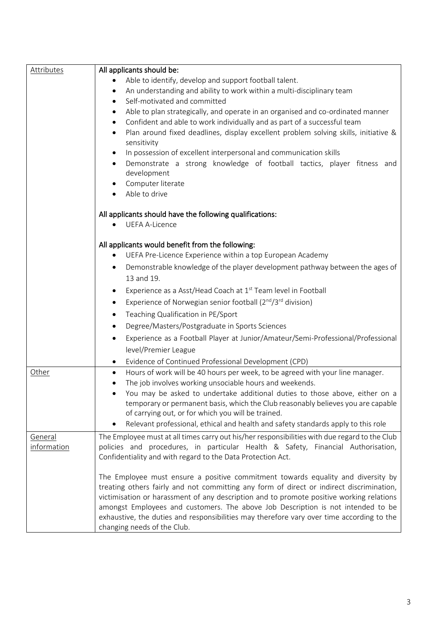| <b>Attributes</b> | All applicants should be:                                                                       |  |  |  |  |
|-------------------|-------------------------------------------------------------------------------------------------|--|--|--|--|
|                   | Able to identify, develop and support football talent.                                          |  |  |  |  |
|                   | An understanding and ability to work within a multi-disciplinary team<br>٠                      |  |  |  |  |
|                   | Self-motivated and committed<br>٠                                                               |  |  |  |  |
|                   | Able to plan strategically, and operate in an organised and co-ordinated manner<br>٠            |  |  |  |  |
|                   | Confident and able to work individually and as part of a successful team<br>$\bullet$           |  |  |  |  |
|                   | Plan around fixed deadlines, display excellent problem solving skills, initiative &             |  |  |  |  |
|                   | sensitivity                                                                                     |  |  |  |  |
|                   | In possession of excellent interpersonal and communication skills<br>٠                          |  |  |  |  |
|                   | Demonstrate a strong knowledge of football tactics, player fitness and                          |  |  |  |  |
|                   | development                                                                                     |  |  |  |  |
|                   | Computer literate                                                                               |  |  |  |  |
|                   | Able to drive                                                                                   |  |  |  |  |
|                   | All applicants should have the following qualifications:                                        |  |  |  |  |
|                   | <b>UEFA A-Licence</b>                                                                           |  |  |  |  |
|                   |                                                                                                 |  |  |  |  |
|                   | All applicants would benefit from the following:                                                |  |  |  |  |
|                   | UEFA Pre-Licence Experience within a top European Academy                                       |  |  |  |  |
|                   | Demonstrable knowledge of the player development pathway between the ages of<br>٠               |  |  |  |  |
|                   | 13 and 19.                                                                                      |  |  |  |  |
|                   | Experience as a Asst/Head Coach at 1 <sup>st</sup> Team level in Football<br>٠                  |  |  |  |  |
|                   | Experience of Norwegian senior football $(2^{nd}/3^{rd}$ division)                              |  |  |  |  |
|                   | Teaching Qualification in PE/Sport<br>٠                                                         |  |  |  |  |
|                   | Degree/Masters/Postgraduate in Sports Sciences<br>٠                                             |  |  |  |  |
|                   | Experience as a Football Player at Junior/Amateur/Semi-Professional/Professional                |  |  |  |  |
|                   | level/Premier League                                                                            |  |  |  |  |
|                   | Evidence of Continued Professional Development (CPD)                                            |  |  |  |  |
| Other             | ٠<br>Hours of work will be 40 hours per week, to be agreed with your line manager.<br>$\bullet$ |  |  |  |  |
|                   | The job involves working unsociable hours and weekends.                                         |  |  |  |  |
|                   | You may be asked to undertake additional duties to those above, either on a                     |  |  |  |  |
|                   | temporary or permanent basis, which the Club reasonably believes you are capable                |  |  |  |  |
|                   | of carrying out, or for which you will be trained.                                              |  |  |  |  |
|                   | Relevant professional, ethical and health and safety standards apply to this role               |  |  |  |  |
| General           | The Employee must at all times carry out his/her responsibilities with due regard to the Club   |  |  |  |  |
| information       | policies and procedures, in particular Health & Safety, Financial Authorisation,                |  |  |  |  |
|                   | Confidentiality and with regard to the Data Protection Act.                                     |  |  |  |  |
|                   |                                                                                                 |  |  |  |  |
|                   | The Employee must ensure a positive commitment towards equality and diversity by                |  |  |  |  |
|                   | treating others fairly and not committing any form of direct or indirect discrimination,        |  |  |  |  |
|                   | victimisation or harassment of any description and to promote positive working relations        |  |  |  |  |
|                   | amongst Employees and customers. The above Job Description is not intended to be                |  |  |  |  |
|                   | exhaustive, the duties and responsibilities may therefore vary over time according to the       |  |  |  |  |
|                   | changing needs of the Club.                                                                     |  |  |  |  |